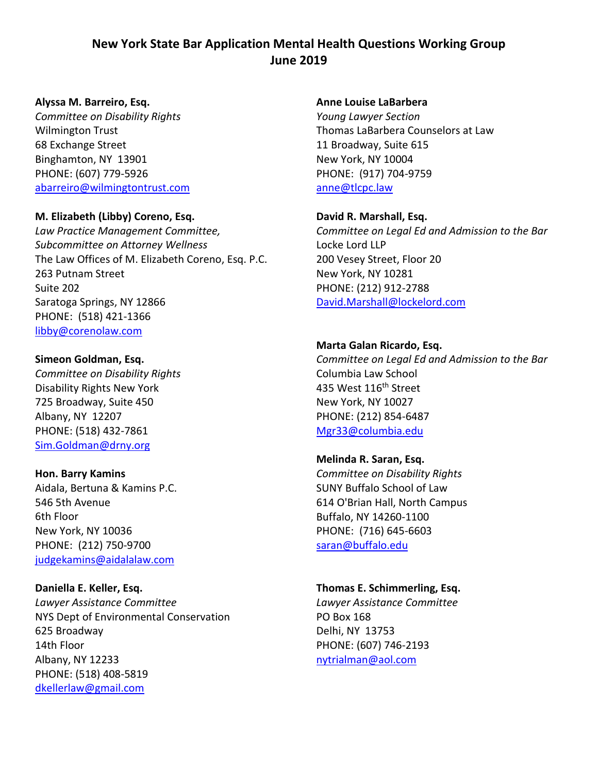# **New York State Bar Application Mental Health Questions Working Group June 2019**

### **Alyssa M. Barreiro, Esq.**

*Committee on Disability Rights* Wilmington Trust 68 Exchange Street Binghamton, NY 13901 PHONE: (607) 779-5926 [abarreiro@wilmingtontrust.com](mailto:abarreiro@wilmingtontrust.com)

### **M. Elizabeth (Libby) Coreno, Esq.**

*Law Practice Management Committee, Subcommittee on Attorney Wellness* The Law Offices of M. Elizabeth Coreno, Esq. P.C. 263 Putnam Street Suite 202 Saratoga Springs, NY 12866 PHONE: (518) 421-1366 [libby@corenolaw.com](mailto:libby@corenolaw.com)

### **Simeon Goldman, Esq.**

*Committee on Disability Rights* Disability Rights New York 725 Broadway, Suite 450 Albany, NY 12207 PHONE: (518) 432-7861 [Sim.Goldman@drny.org](mailto:Sim.Goldman@drny.org)

### **Hon. Barry Kamins**

Aidala, Bertuna & Kamins P.C. 546 5th Avenue 6th Floor New York, NY 10036 PHONE: (212) 750-9700 [judgekamins@aidalalaw.com](mailto:judgekamins@aidalalaw.com)

### **Daniella E. Keller, Esq.**

*Lawyer Assistance Committee* NYS Dept of Environmental Conservation 625 Broadway 14th Floor Albany, NY 12233 PHONE: (518) 408-5819 [dkellerlaw@gmail.com](mailto:dkellerlaw@gmail.com)

#### **Anne Louise LaBarbera**

*Young Lawyer Section* Thomas LaBarbera Counselors at Law 11 Broadway, Suite 615 New York, NY 10004 PHONE: (917) 704-9759 [anne@tlcpc.law](mailto:anne@tlcpc.law)

### **David R. Marshall, Esq.**

*Committee on Legal Ed and Admission to the Bar* Locke Lord LLP 200 Vesey Street, Floor 20 New York, NY 10281 PHONE: (212) 912-2788 [David.Marshall@lockelord.com](mailto:David.Marshall@lockelord.com)

### **Marta Galan Ricardo, Esq.**

*Committee on Legal Ed and Admission to the Bar* Columbia Law School 435 West 116<sup>th</sup> Street New York, NY 10027 PHONE: (212) 854-6487 [Mgr33@columbia.edu](mailto:Mgr33@columbia.edu)

# **Melinda R. Saran, Esq.**

*Committee on Disability Rights* SUNY Buffalo School of Law 614 O'Brian Hall, North Campus Buffalo, NY 14260-1100 PHONE: (716) 645-6603 [saran@buffalo.edu](mailto:saran@buffalo.edu)

### **Thomas E. Schimmerling, Esq.**

*Lawyer Assistance Committee* PO Box 168 Delhi, NY 13753 PHONE: (607) 746-2193 [nytrialman@aol.com](mailto:nytrialman@aol.com)